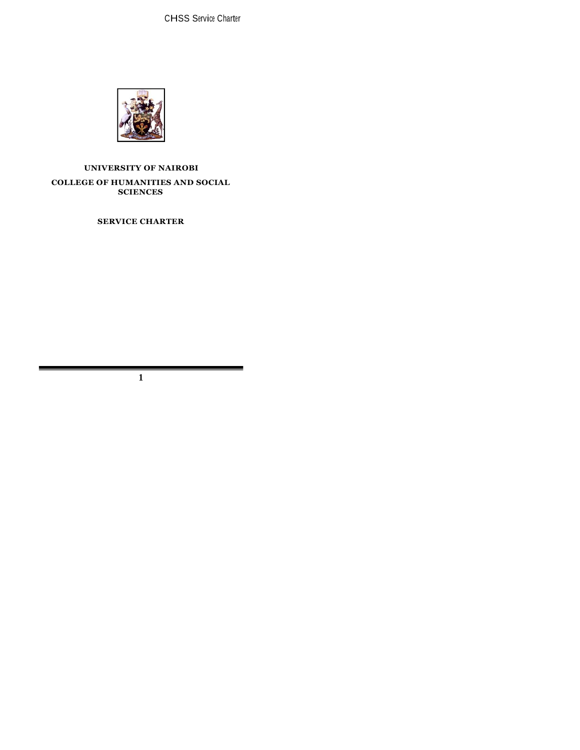

# **UNIVERSITY OF NAIROBI COLLEGE OF HUMANITIES AND SOCIAL SCIENCES**

**SERVICE CHARTER**

**1**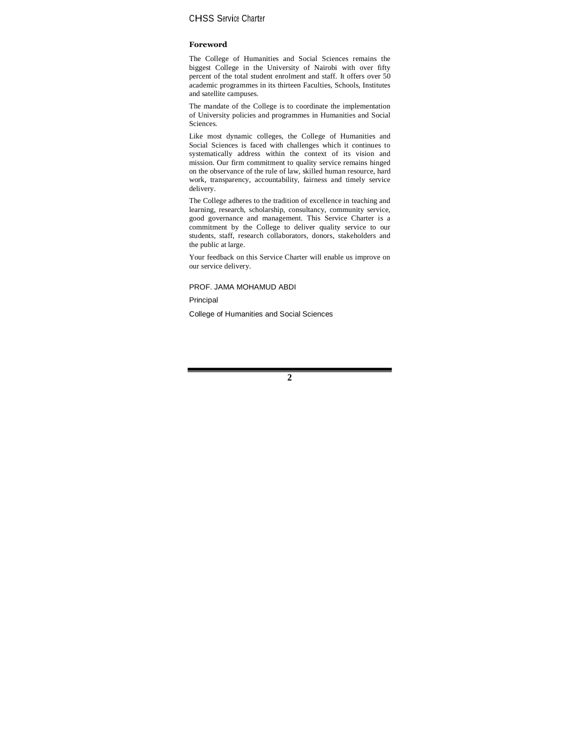#### **Foreword**

The College of Humanities and Social Sciences remains the biggest College in the University of Nairobi with over fifty percent of the total student enrolment and staff. It offers over 50 academic programmes in its thirteen Faculties, Schools, Institutes and satellite campuses.

The mandate of the College is to coordinate the implementation of University policies and programmes in Humanities and Social Sciences.

Like most dynamic colleges, the College of Humanities and Social Sciences is faced with challenges which it continues to systematically address within the context of its vision and mission. Our firm commitment to quality service remains hinged on the observance of the rule of law, skilled human resource, hard work, transparency, accountability, fairness and timely service delivery.

The College adheres to the tradition of excellence in teaching and learning, research, scholarship, consultancy, community service, good governance and management. This Service Charter is a commitment by the College to deliver quality service to our students, staff, research collaborators, donors, stakeholders and the public at large.

Your feedback on this Service Charter will enable us improve on our service delivery.

PROF. JAMA MOHAMUD ABDI

Principal

College of Humanities and Social Sciences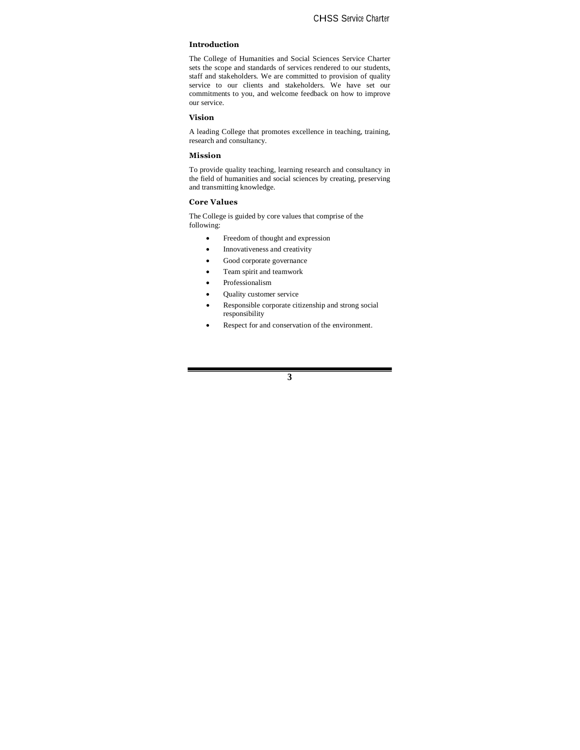#### **Introduction**

The College of Humanities and Social Sciences Service Charter sets the scope and standards of services rendered to our students, staff and stakeholders. We are committed to provision of quality service to our clients and stakeholders. We have set our commitments to you, and welcome feedback on how to improve our service.

#### **Vision**

A leading College that promotes excellence in teaching, training, research and consultancy.

## **Mission**

To provide quality teaching, learning research and consultancy in the field of humanities and social sciences by creating, preserving and transmitting knowledge.

#### **Core Values**

The College is guided by core values that comprise of the following:

- Freedom of thought and expression
- Innovativeness and creativity
- Good corporate governance
- Team spirit and teamwork
- Professionalism
- Quality customer service
- Responsible corporate citizenship and strong social responsibility
- Respect for and conservation of the environment.

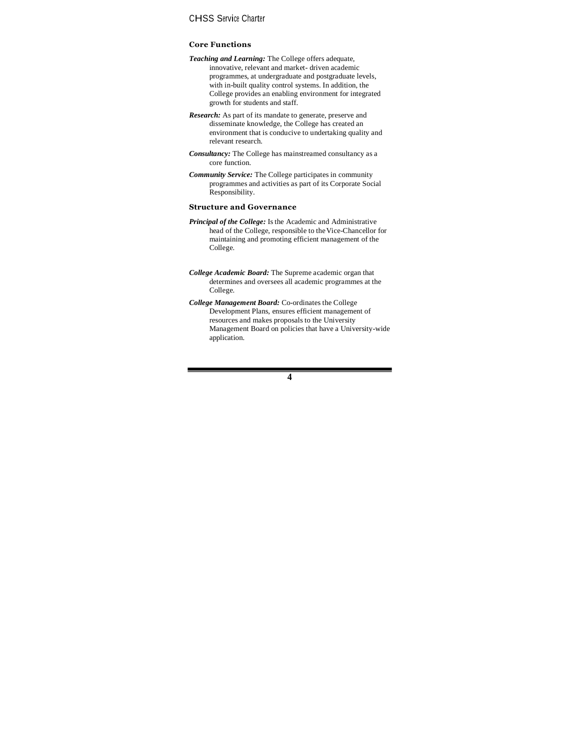#### **Core Functions**

- *Teaching and Learning:* The College offers adequate, innovative, relevant and market- driven academic programmes, at undergraduate and postgraduate levels, with in-built quality control systems. In addition, the College provides an enabling environment for integrated growth for students and staff.
- *Research:* As part of its mandate to generate, preserve and disseminate knowledge, the College has created an environment that is conducive to undertaking quality and relevant research.
- *Consultancy:* The College has mainstreamed consultancy as a core function.
- *Community Service:* The College participates in community programmes and activities as part of its Corporate Social Responsibility.

#### **Structure and Governance**

- *Principal of the College:* Is the Academic and Administrative head of the College, responsible to theVice-Chancellor for maintaining and promoting efficient management of the College.
- *College Academic Board:* The Supreme academic organ that determines and oversees all academic programmes at the College.
- *College Management Board:* Co-ordinates the College Development Plans, ensures efficient management of resources and makes proposals to the University Management Board on policies that have a University-wide application.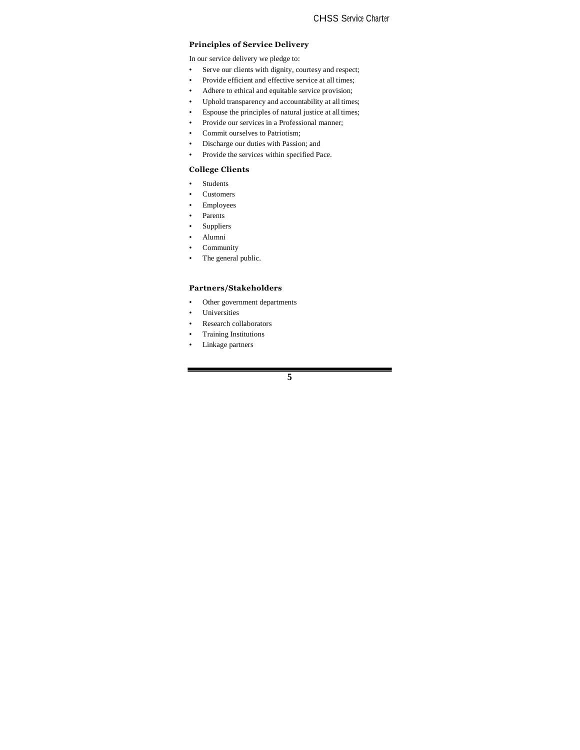### **Principles of Service Delivery**

In our service delivery we pledge to:

- Serve our clients with dignity, courtesy and respect;
- Provide efficient and effective service at all times;
- Adhere to ethical and equitable service provision;
- Uphold transparency and accountability at all times;
- Espouse the principles of natural justice at all times;
- Provide our services in a Professional manner;
- Commit ourselves to Patriotism;
- Discharge our duties with Passion; and
- Provide the services within specified Pace.

### **College Clients**

- Students
- Customers
- Employees
- Parents
- Suppliers
- Alumni
- Community
- The general public.

## **Partners/Stakeholders**

- Other government departments
- Universities
- Research collaborators
- Training Institutions
- Linkage partners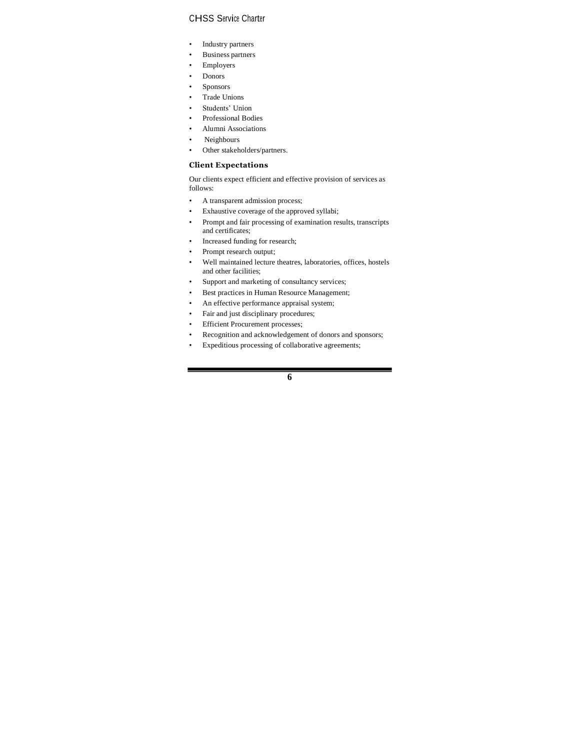- Industry partners
- Business partners
- Employers
- Donors
- Sponsors
- Trade Unions
- Students' Union
- Professional Bodies
- Alumni Associations
- Neighbours
- Other stakeholders/partners.

### **Client Expectations**

Our clients expect efficient and effective provision of services as follows:

- A transparent admission process;
- Exhaustive coverage of the approved syllabi;
- Prompt and fair processing of examination results, transcripts and certificates;
- Increased funding for research;
- Prompt research output;
- Well maintained lecture theatres, laboratories, offices, hostels and other facilities;
- Support and marketing of consultancy services;
- Best practices in Human Resource Management;
- An effective performance appraisal system;
- Fair and just disciplinary procedures;
- **Efficient Procurement processes;**
- Recognition and acknowledgement of donors and sponsors;
- Expeditious processing of collaborative agreements;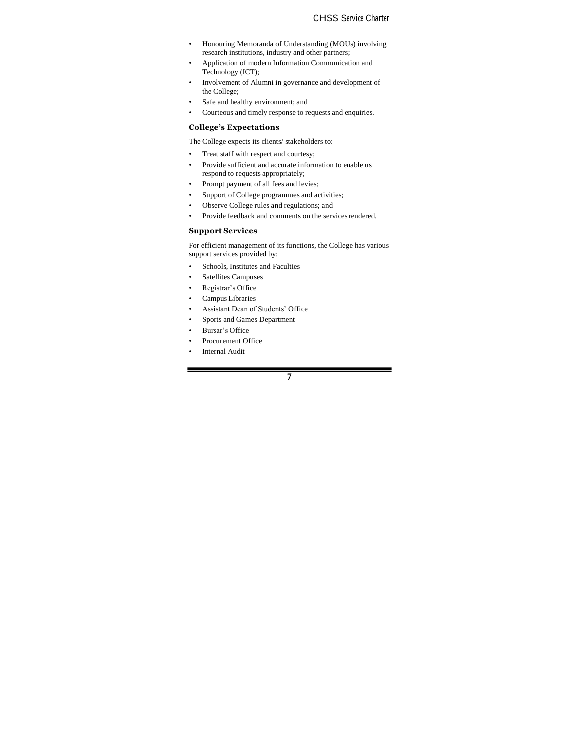- Honouring Memoranda of Understanding (MOUs) involving research institutions, industry and other partners;
- Application of modern Information Communication and Technology (ICT);
- Involvement of Alumni in governance and development of the College;
- Safe and healthy environment; and
- Courteous and timely response to requests and enquiries.

## **College's Expectations**

The College expects its clients/ stakeholders to:

- Treat staff with respect and courtesy;
- Provide sufficient and accurate information to enable us respond to requests appropriately;
- Prompt payment of all fees and levies;
- Support of College programmes and activities;
- Observe College rules and regulations; and
- Provide feedback and comments on the services rendered.

# **Support Services**

For efficient management of its functions, the College has various support services provided by:

- Schools, Institutes and Faculties
- Satellites Campuses
- Registrar's Office
- Campus Libraries
- Assistant Dean of Students' Office
- Sports and Games Department
- Bursar's Office
	- Procurement Office
- Internal Audit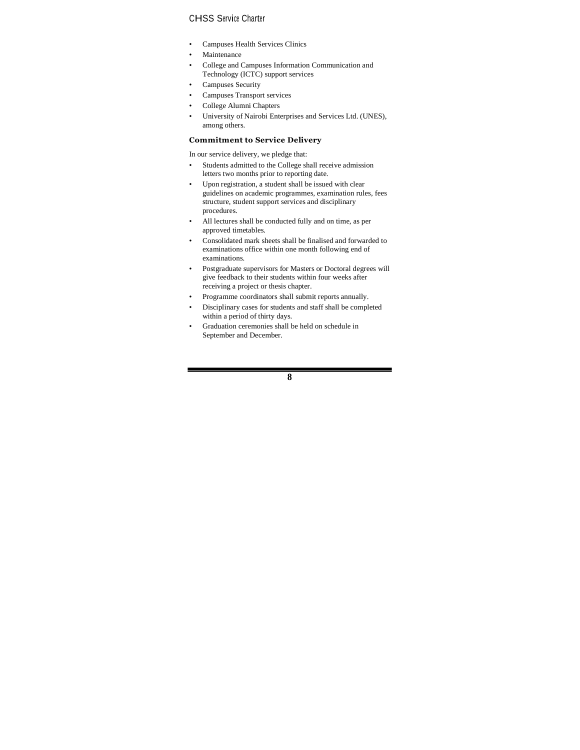- Campuses Health Services Clinics
- **Maintenance**
- College and Campuses Information Communication and Technology (ICTC) support services
- Campuses Security
- Campuses Transport services
- College Alumni Chapters
- University of Nairobi Enterprises and Services Ltd. (UNES), among others.

## **Commitment to Service Delivery**

In our service delivery, we pledge that:

- Students admitted to the College shall receive admission letters two months prior to reporting date.
- Upon registration, a student shall be issued with clear guidelines on academic programmes, examination rules, fees structure, student support services and disciplinary procedures.
- All lectures shall be conducted fully and on time, as per approved timetables.
- Consolidated mark sheets shall be finalised and forwarded to examinations office within one month following end of examinations.
- Postgraduate supervisors for Masters or Doctoral degrees will give feedback to their students within four weeks after receiving a project or thesis chapter.
- Programme coordinators shall submit reports annually.
- Disciplinary cases for students and staff shall be completed within a period of thirty days.
- Graduation ceremonies shall be held on schedule in September and December.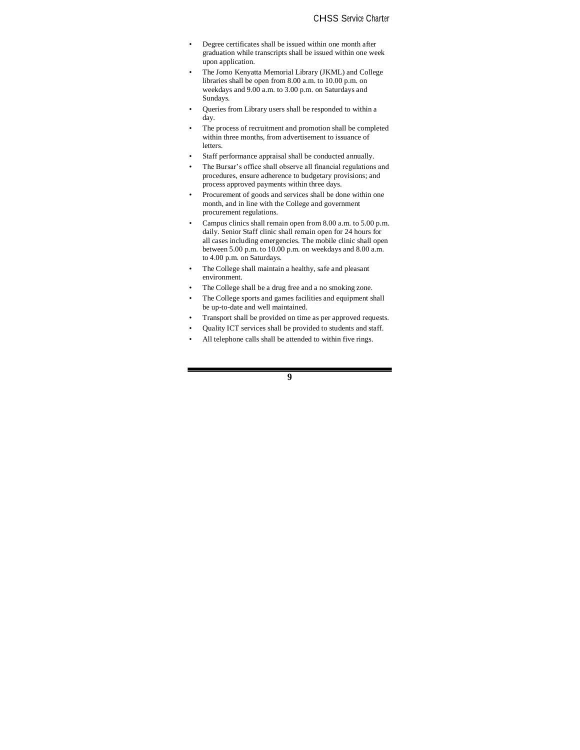- Degree certificates shall be issued within one month after graduation while transcripts shall be issued within one week upon application.
- The Jomo Kenyatta Memorial Library (JKML) and College libraries shall be open from 8.00 a.m. to 10.00 p.m. on weekdays and 9.00 a.m. to 3.00 p.m. on Saturdays and Sundays.
- Queries from Library users shall be responded to within a day.
- The process of recruitment and promotion shall be completed within three months, from advertisement to issuance of letters.
- Staff performance appraisal shall be conducted annually.
- The Bursar's office shall observe all financial regulations and procedures, ensure adherence to budgetary provisions; and process approved payments within three days.
- Procurement of goods and services shall be done within one month, and in line with the College and government procurement regulations.
- Campus clinics shall remain open from 8.00 a.m. to 5.00 p.m. daily. Senior Staff clinic shall remain open for 24 hours for all cases including emergencies. The mobile clinic shall open between 5.00 p.m. to 10.00 p.m. on weekdays and 8.00 a.m. to 4.00 p.m. on Saturdays.
- The College shall maintain a healthy, safe and pleasant environment.
- The College shall be a drug free and a no smoking zone.
- The College sports and games facilities and equipment shall be up-to-date and well maintained.
- Transport shall be provided on time as per approved requests.
- Quality ICT services shall be provided to students and staff.
- All telephone calls shall be attended to within five rings.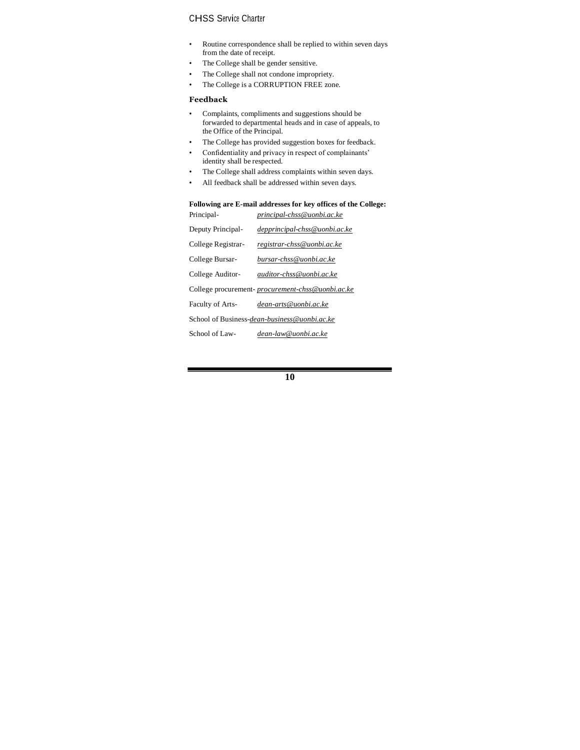- Routine correspondence shall be replied to within seven days from the date of receipt.
- The College shall be gender sensitive.
- The College shall not condone impropriety.
- The College is a CORRUPTION FREE zone.

## **Feedback**

- Complaints, compliments and suggestions should be forwarded to departmental heads and in case of appeals, to the Office of the Principal.
- The College has provided suggestion boxes for feedback.
- Confidentiality and privacy in respect of complainants' identity shall be respected.
- The College shall address complaints within seven days.
- All feedback shall be addressed within seven days.

#### **Following are E-mail addresses for key offices of the College:** Principal- *[principal-chss@uonbi.ac.ke](mailto:principal-chss@uonbi.ac.ke)*

| гипсиран-               | рғинсиран-стуу саотонас.ке                       |
|-------------------------|--------------------------------------------------|
| Deputy Principal-       | depprincipal-chss@uonbi.ac.ke                    |
| College Registrar-      | registrar-chss@uonbi.ac.ke                       |
| College Bursar-         | bursar-chss@uonbi.ac.ke                          |
| College Auditor-        | auditor-chss@uonbi.ac.ke                         |
|                         | College procurement-procurement-chss@uonbi.ac.ke |
| <b>Faculty of Arts-</b> | dean-arts@uonbi.ac.ke                            |
|                         | School of Business-dean-business@uonbi.ac.ke     |
| School of Law-          | dean-law@uonbi.ac.ke                             |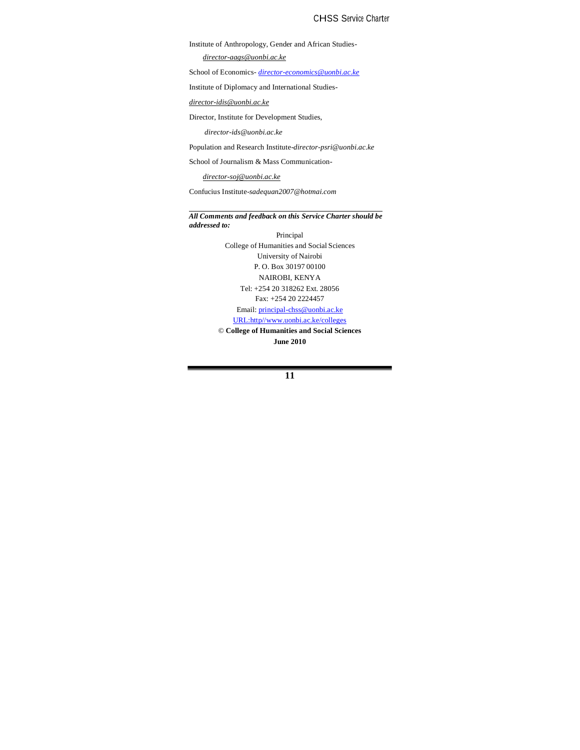Institute of Anthropology, Gender and African Studies-

*[director-aags@uonbi.ac.ke](mailto:director-aags@uonbi.ac.ke)*

School of Economics- *[director-economics@uonbi.ac.ke](mailto:director-economics@uonbi.ac.ke)*

Institute of Diplomacy and International Studies-

*[director-idis@uonbi.ac.ke](mailto:director-idis@uonbi.ac.ke)*

Director, Institute for Development Studies,

*[director-ids@uonbi.ac.ke](mailto:director-ids@uonbi.ac.ke)*

Population and Research Institute-*[director-psri@uonbi.ac.ke](mailto:Institute-director-psri@uonbi.ac.ke)*

School of Journalism & Mass Communication-

*[director-soj@uonbi.ac.ke](mailto:director-soj@uonbi.ac.ke)*

Confucius Institute-*[sadequan2007@hotmai.com](mailto:Institute-sadequan2007@hotmai.com)*

*All Comments and feedback on this Service Charter should be addressed to:*

> Principal College of Humanities and Social Sciences University of Nairobi P. O. Box 30197 00100 NAIROBI, KENYA Tel: +254 20 318262 Ext. 28056 Fax: +254 20 2224457 Email[: principal-chss@uonbi.ac.ke](mailto:principal-chss@uonbi.ac.ke)

URL:http/[/www.uonbi.ac.ke/colleges](http://www.uonbi.ac.ke/colleges)

© **College of Humanities and Social Sciences June 2010**